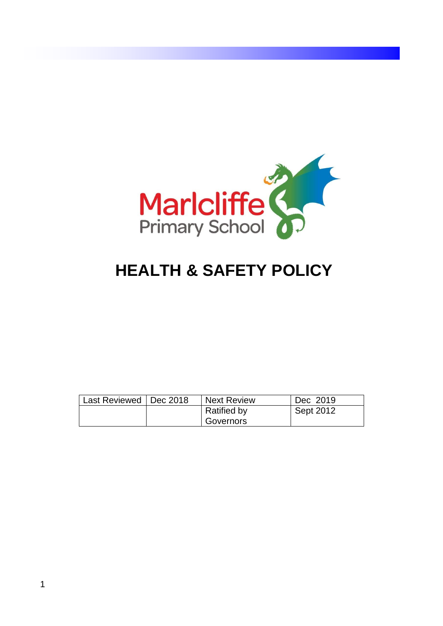

# **HEALTH & SAFETY POLICY**

| Last Reviewed   Dec 2018 | <b>Next Review</b> | Dec 2019  |
|--------------------------|--------------------|-----------|
|                          | <b>Ratified by</b> | Sept 2012 |
|                          | Governors          |           |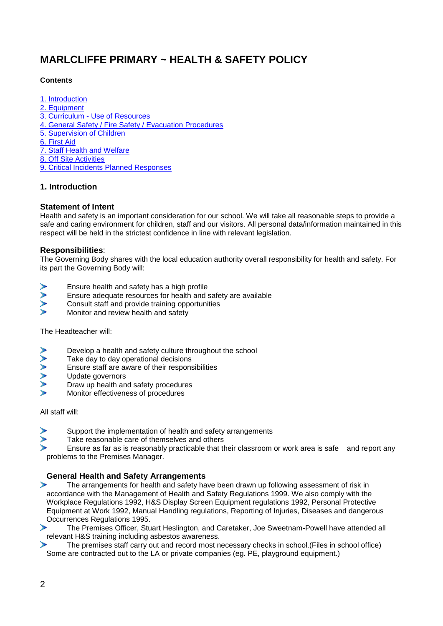## **MARLCLIFFE PRIMARY ~ HEALTH & SAFETY POLICY**

### **Contents**

- [1. Introduction](http://www.st-bede.hants.sch.uk/3181-index/3181-information-for-parents/3181-school-policies/3181-health-and-safety-policy.htm#1.introduction)
- [2. Equipment](http://www.st-bede.hants.sch.uk/3181-index/3181-information-for-parents/3181-school-policies/3181-health-and-safety-policy.htm#2.equipment)
- 3. Curriculum [Use of Resources](http://www.st-bede.hants.sch.uk/3181-index/3181-information-for-parents/3181-school-policies/3181-health-and-safety-policy.htm#3.curriculum)
- [4. General Safety / Fire Safety / Evacuation Procedures](http://www.st-bede.hants.sch.uk/3181-index/3181-information-for-parents/3181-school-policies/3181-health-and-safety-policy.htm#4.safety)
- [5. Supervision of Children](http://www.st-bede.hants.sch.uk/3181-index/3181-information-for-parents/3181-school-policies/3181-health-and-safety-policy.htm#5.supervision)
- [6. First Aid](http://www.st-bede.hants.sch.uk/3181-index/3181-information-for-parents/3181-school-policies/3181-health-and-safety-policy.htm#6.first_aid)
- [7. Staff Health and Welfare](http://www.st-bede.hants.sch.uk/3181-index/3181-information-for-parents/3181-school-policies/3181-health-and-safety-policy.htm#7.staff_health)
- [8. Off Site Activities](http://www.st-bede.hants.sch.uk/3181-index/3181-information-for-parents/3181-school-policies/3181-health-and-safety-policy.htm#8.off_site_activities)
- [9. Critical Incidents Planned Responses](http://www.st-bede.hants.sch.uk/3181-index/3181-information-for-parents/3181-school-policies/3181-health-and-safety-policy.htm#9.critical_incidents)

### **1. Introduction**

### **Statement of Intent**

Health and safety is an important consideration for our school. We will take all reasonable steps to provide a safe and caring environment for children, staff and our visitors. All personal data/information maintained in this respect will be held in the strictest confidence in line with relevant legislation.

### **Responsibilities**:

The Governing Body shares with the local education authority overall responsibility for health and safety. For its part the Governing Body will:

- Ensure health and safety has a high profile
- XXX Ensure adequate resources for health and safety are available
- Consult staff and provide training opportunities
- Monitor and review health and safety

The Headteacher will:

- Develop a health and safety culture throughout the school
- **AAAAAA** Take day to day operational decisions
- Ensure staff are aware of their responsibilities
- Update governors
- Draw up health and safety procedures
- Monitor effectiveness of procedures

All staff will:

- Support the implementation of health and safety arrangements
- Take reasonable care of themselves and others

Ensure as far as is reasonably practicable that their classroom or work area is safe and report any problems to the Premises Manager.

### **General Health and Safety Arrangements**

- $\blacktriangleright$ The arrangements for health and safety have been drawn up following assessment of risk in accordance with the Management of Health and Safety Regulations 1999. We also comply with the Workplace Regulations 1992, H&S Display Screen Equipment regulations 1992, Personal Protective Equipment at Work 1992, Manual Handling regulations, Reporting of Injuries, Diseases and dangerous Occurrences Regulations 1995.
- Y. The Premises Officer, Stuart Heslington, and Caretaker, Joe Sweetnam-Powell have attended all relevant H&S training including asbestos awareness.
- N. The premises staff carry out and record most necessary checks in school.(Files in school office) Some are contracted out to the LA or private companies (eg. PE, playground equipment.)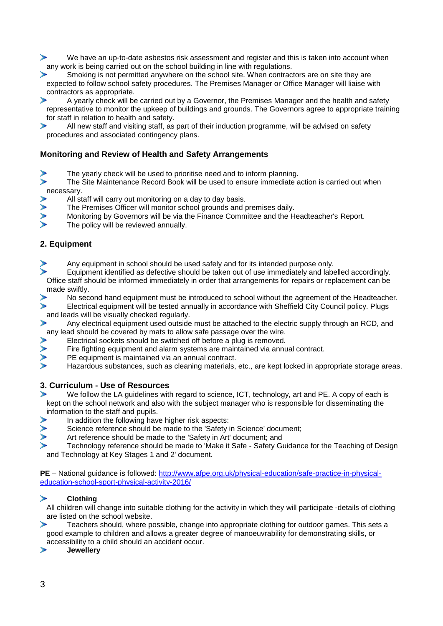⋟ We have an up-to-date asbestos risk assessment and register and this is taken into account when any work is being carried out on the school building in line with regulations.

Smoking is not permitted anywhere on the school site. When contractors are on site they are ⋗ expected to follow school safety procedures. The Premises Manager or Office Manager will liaise with contractors as appropriate.

A yearly check will be carried out by a Governor, the Premises Manager and the health and safety ⋗ representative to monitor the upkeep of buildings and grounds. The Governors agree to appropriate training for staff in relation to health and safety.

⋟ All new staff and visiting staff, as part of their induction programme, will be advised on safety procedures and associated contingency plans.

### **Monitoring and Review of Health and Safety Arrangements**

The yearly check will be used to prioritise need and to inform planning.

 $\blacktriangleright$ The Site Maintenance Record Book will be used to ensure immediate action is carried out when necessary.

- All staff will carry out monitoring on a day to day basis.
- $\geqslant$ The Premises Officer will monitor school grounds and premises daily.
- Monitoring by Governors will be via the Finance Committee and the Headteacher's Report.
- The policy will be reviewed annually.

### **2. Equipment**

- Any equipment in school should be used safely and for its intended purpose only.
- Equipment identified as defective should be taken out of use immediately and labelled accordingly. Office staff should be informed immediately in order that arrangements for repairs or replacement can be made swiftly.
- No second hand equipment must be introduced to school without the agreement of the Headteacher.
- S Electrical equipment will be tested annually in accordance with Sheffield City Council policy. Plugs and leads will be visually checked regularly.
- Any electrical equipment used outside must be attached to the electric supply through an RCD, and ⋗ any lead should be covered by mats to allow safe passage over the wire.
- Electrical sockets should be switched off before a plug is removed.
- **AAAA** Fire fighting equipment and alarm systems are maintained via annual contract.
- PE equipment is maintained via an annual contract.
- Hazardous substances, such as cleaning materials, etc., are kept locked in appropriate storage areas.

### **3. Curriculum - Use of Resources**

- ⋗ We follow the LA guidelines with regard to science, ICT, technology, art and PE. A copy of each is kept on the school network and also with the subject manager who is responsible for disseminating the information to the staff and pupils.
- In addition the following have higher risk aspects:
	- Science reference should be made to the 'Safety in Science' document;
	- Art reference should be made to the 'Safety in Art' document; and

Technology reference should be made to 'Make it Safe - Safety Guidance for the Teaching of Design and Technology at Key Stages 1 and 2' document.

**PE** – National guidance is followed: [http://www.afpe.org.uk/physical-education/safe-practice-in-physical](http://www.afpe.org.uk/physical-education/safe-practice-in-physical-education-school-sport-physical-activity-2016/)[education-school-sport-physical-activity-2016/](http://www.afpe.org.uk/physical-education/safe-practice-in-physical-education-school-sport-physical-activity-2016/)

#### $\mathbf{r}$ **Clothing**

All children will change into suitable clothing for the activity in which they will participate -details of clothing are listed on the school website.

Teachers should, where possible, change into appropriate clothing for outdoor games. This sets a good example to children and allows a greater degree of manoeuvrability for demonstrating skills, or accessibility to a child should an accident occur.

**Jewellery**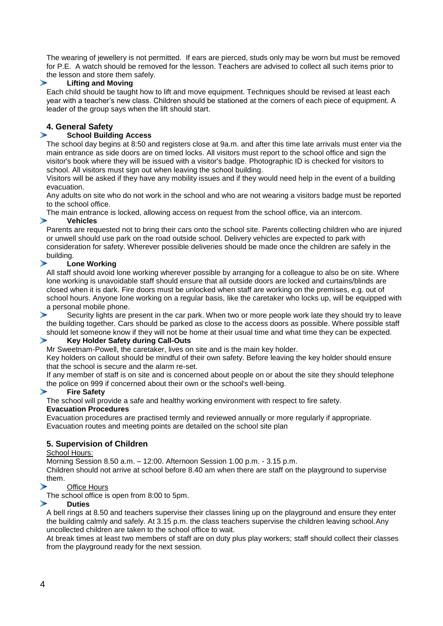The wearing of jewellery is not permitted. If ears are pierced, studs only may be worn but must be removed for P.E. A watch should be removed for the lesson. Teachers are advised to collect all such items prior to the lesson and store them safely.

#### ⋗ **Lifting and Moving**

Each child should be taught how to lift and move equipment. Techniques should be revised at least each year with a teacher's new class. Children should be stationed at the corners of each piece of equipment. A leader of the group says when the lift should start.

### **4. General Safety**

↘

#### **School Building Access**

The school day begins at 8:50 and registers close at 9a.m. and after this time late arrivals must enter via the main entrance as side doors are on timed locks. All visitors must report to the school office and sign the visitor's book where they will be issued with a visitor's badge. Photographic ID is checked for visitors to school. All visitors must sign out when leaving the school building.

Visitors will be asked if they have any mobility issues and if they would need help in the event of a building evacuation.

Any adults on site who do not work in the school and who are not wearing a visitors badge must be reported to the school office.

The main entrance is locked, allowing access on request from the school office, via an intercom.

#### **Vehicles**

Parents are requested not to bring their cars onto the school site. Parents collecting children who are injured or unwell should use park on the road outside school. Delivery vehicles are expected to park with consideration for safety. Wherever possible deliveries should be made once the children are safely in the building.

#### $\mathbf{r}$ **Lone Working**

All staff should avoid lone working wherever possible by arranging for a colleague to also be on site. Where lone working is unavoidable staff should ensure that all outside doors are locked and curtains/blinds are closed when it is dark. Fire doors must be unlocked when staff are working on the premises, e.g. out of school hours. Anyone lone working on a regular basis, like the caretaker who locks up, will be equipped with a personal mobile phone.

⋗ Security lights are present in the car park. When two or more people work late they should try to leave the building together. Cars should be parked as close to the access doors as possible. Where possible staff should let someone know if they will not be home at their usual time and what time they can be expected.

#### $\blacktriangleright$ **Key Holder Safety during Call-Outs**

Mr Sweetnam-Powell, the caretaker, lives on site and is the main key holder.

Key holders on callout should be mindful of their own safety. Before leaving the key holder should ensure that the school is secure and the alarm re-set.

If any member of staff is on site and is concerned about people on or about the site they should telephone the police on 999 if concerned about their own or the school's well-being.

#### ⋗ **Fire Safety**

The school will provide a safe and healthy working environment with respect to fire safety.

#### **Evacuation Procedures**

Evacuation procedures are practised termly and reviewed annually or more regularly if appropriate. Evacuation routes and meeting points are detailed on the school site plan

### **5. Supervision of Children**

#### School Hours:

Morning Session 8.50 a.m. – 12:00. Afternoon Session 1.00 p.m. - 3.15 p.m.

Children should not arrive at school before 8.40 am when there are staff on the playground to supervise them.

#### No. Office Hours

The school office is open from 8:00 to 5pm.

#### **Duties**

A bell rings at 8.50 and teachers supervise their classes lining up on the playground and ensure they enter the building calmly and safely. At 3.15 p.m. the class teachers supervise the children leaving school.Any uncollected children are taken to the school office to wait.

At break times at least two members of staff are on duty plus play workers; staff should collect their classes from the playground ready for the next session.

'n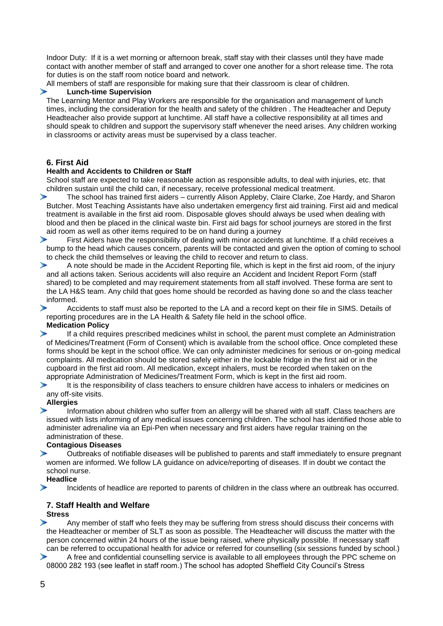Indoor Duty: If it is a wet morning or afternoon break, staff stay with their classes until they have made contact with another member of staff and arranged to cover one another for a short release time. The rota for duties is on the staff room notice board and network.

All members of staff are responsible for making sure that their classroom is clear of children.

#### **Lunch-time Supervision**

The Learning Mentor and Play Workers are responsible for the organisation and management of lunch times, including the consideration for the health and safety of the children . The Headteacher and Deputy Headteacher also provide support at lunchtime. All staff have a collective responsibility at all times and should speak to children and support the supervisory staff whenever the need arises. Any children working in classrooms or activity areas must be supervised by a class teacher.

#### **6. First Aid**

⋗

#### **Health and Accidents to Children or Staff**

School staff are expected to take reasonable action as responsible adults, to deal with injuries, etc. that children sustain until the child can, if necessary, receive professional medical treatment.

Y. The school has trained first aiders – currently Alison Appleby, Claire Clarke, Zoe Hardy, and Sharon Butcher. Most Teaching Assistants have also undertaken emergency first aid training. First aid and medical treatment is available in the first aid room. Disposable gloves should always be used when dealing with blood and then be placed in the clinical waste bin. First aid bags for school journeys are stored in the first aid room as well as other items required to be on hand during a journey

First Aiders have the responsibility of dealing with minor accidents at lunchtime. If a child receives a ⋗ bump to the head which causes concern, parents will be contacted and given the option of coming to school to check the child themselves or leaving the child to recover and return to class.

⋗ A note should be made in the Accident Reporting file, which is kept in the first aid room, of the injury and all actions taken. Serious accidents will also require an Accident and Incident Report Form (staff shared) to be completed and may requirement statements from all staff involved. These forma are sent to the LA H&S team. Any child that goes home should be recorded as having done so and the class teacher informed.

Accidents to staff must also be reported to the LA and a record kept on their file in SIMS. Details of reporting procedures are in the LA Health & Safety file held in the school office. **Medication Policy**

⋗ If a child requires prescribed medicines whilst in school, the parent must complete an Administration of Medicines/Treatment (Form of Consent) which is available from the school office. Once completed these forms should be kept in the school office. We can only administer medicines for serious or on-going medical complaints. All medication should be stored safely either in the lockable fridge in the first aid or in the cupboard in the first aid room. All medication, except inhalers, must be recorded when taken on the appropriate Administration of Medicines/Treatment Form, which is kept in the first aid room.

Y. It is the responsibility of class teachers to ensure children have access to inhalers or medicines on any off-site visits.

#### **Allergies**

Y. Information about children who suffer from an allergy will be shared with all staff. Class teachers are issued with lists informing of any medical issues concerning children. The school has identified those able to administer adrenaline via an Epi-Pen when necessary and first aiders have regular training on the administration of these.

#### **Contagious Diseases**

ъ Outbreaks of notifiable diseases will be published to parents and staff immediately to ensure pregnant women are informed. We follow LA guidance on advice/reporting of diseases. If in doubt we contact the school nurse.

#### **Headlice** Y.

Incidents of headlice are reported to parents of children in the class where an outbreak has occurred.

#### **7. Staff Health and Welfare Stress**

Any member of staff who feels they may be suffering from stress should discuss their concerns with  $\rightarrow$ the Headteacher or member of SLT as soon as possible. The Headteacher will discuss the matter with the person concerned within 24 hours of the issue being raised, where physically possible. If necessary staff can be referred to occupational health for advice or referred for counselling (six sessions funded by school.)

⋗ A free and confidential counselling service is available to all employees through the PPC scheme on 08000 282 193 (see leaflet in staff room.) The school has adopted Sheffield City Council's Stress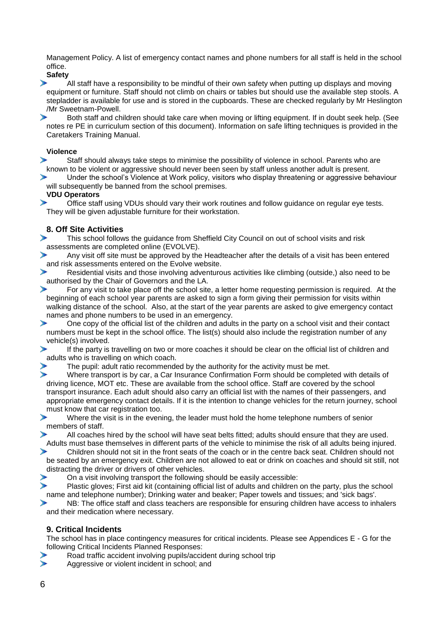Management Policy. A list of emergency contact names and phone numbers for all staff is held in the school office.

**Safety**

⋗ All staff have a responsibility to be mindful of their own safety when putting up displays and moving equipment or furniture. Staff should not climb on chairs or tables but should use the available step stools. A stepladder is available for use and is stored in the cupboards. These are checked regularly by Mr Heslington /Mr Sweetnam-Powell.<br>Both staff and ch

Both staff and children should take care when moving or lifting equipment. If in doubt seek help. (See notes re PE in curriculum section of this document). Information on safe lifting techniques is provided in the Caretakers Training Manual.

#### **Violence**

Staff should always take steps to minimise the possibility of violence in school. Parents who are ⋗ known to be violent or aggressive should never been seen by staff unless another adult is present.

ъ Under the school's Violence at Work policy, visitors who display threatening or aggressive behaviour will subsequently be banned from the school premises.

#### **VDU Operators**

 $\mathbf{r}$ Office staff using VDUs should vary their work routines and follow guidance on regular eye tests. They will be given adjustable furniture for their workstation.

### **8. Off Site Activities**

This school follows the guidance from Sheffield City Council on out of school visits and risk ⋗ assessments are completed online (EVOLVE).

`n Any visit off site must be approved by the Headteacher after the details of a visit has been entered and risk assessments entered on the Evolve website.

Residential visits and those involving adventurous activities like climbing (outside,) also need to be authorised by the Chair of Governors and the LA.

For any visit to take place off the school site, a letter home requesting permission is required. At the ⋗ beginning of each school year parents are asked to sign a form giving their permission for visits within walking distance of the school. Also, at the start of the year parents are asked to give emergency contact names and phone numbers to be used in an emergency.

ъ One copy of the official list of the children and adults in the party on a school visit and their contact numbers must be kept in the school office. The list(s) should also include the registration number of any vehicle(s) involved.

 $\blacktriangleright$ If the party is travelling on two or more coaches it should be clear on the official list of children and adults who is travelling on which coach.

The pupil: adult ratio recommended by the authority for the activity must be met.

Ÿ. Where transport is by car, a Car Insurance Confirmation Form should be completed with details of driving licence, MOT etc. These are available from the school office. Staff are covered by the school transport insurance. Each adult should also carry an official list with the names of their passengers, and appropriate emergency contact details. If it is the intention to change vehicles for the return journey, school must know that car registration too.

N. Where the visit is in the evening, the leader must hold the home telephone numbers of senior members of staff.

All coaches hired by the school will have seat belts fitted; adults should ensure that they are used. ъ Adults must base themselves in different parts of the vehicle to minimise the risk of all adults being injured.

⋟ Children should not sit in the front seats of the coach or in the centre back seat. Children should not be seated by an emergency exit. Children are not allowed to eat or drink on coaches and should sit still, not distracting the driver or drivers of other vehicles.

On a visit involving transport the following should be easily accessible:

↘ Plastic gloves; First aid kit (containing official list of adults and children on the party, plus the school name and telephone number); Drinking water and beaker; Paper towels and tissues; and 'sick bags'.

ъ NB: The office staff and class teachers are responsible for ensuring children have access to inhalers and their medication where necessary.

### **9. Critical Incidents**

The school has in place contingency measures for critical incidents. Please see Appendices E - G for the following Critical Incidents Planned Responses:

- Road traffic accident involving pupils/accident during school trip
- ↘ Aggressive or violent incident in school; and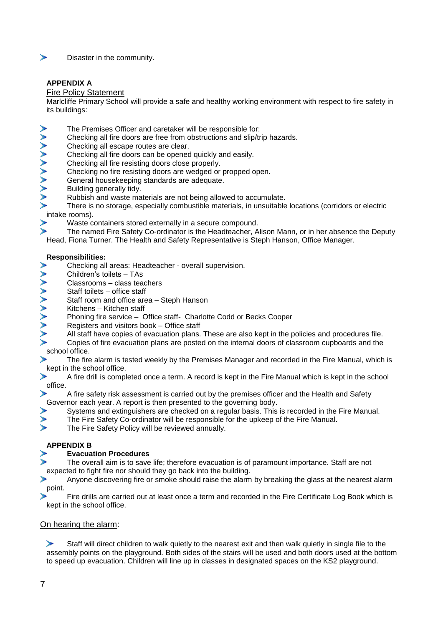

Disaster in the community.

### **APPENDIX A**

#### Fire Policy Statement

Marlcliffe Primary School will provide a safe and healthy working environment with respect to fire safety in its buildings:

- The Premises Officer and caretaker will be responsible for:
- Checking all fire doors are free from obstructions and slip/trip hazards.
- Checking all escape routes are clear.
- Checking all fire doors can be opened quickly and easily.
- Checking all fire resisting doors close properly.
- Checking no fire resisting doors are wedged or propped open.
- ヘヘヘヘヘヘヘヘヘヘ General housekeeping standards are adequate.
- Building generally tidy.
- Rubbish and waste materials are not being allowed to accumulate.
- There is no storage, especially combustible materials, in unsuitable locations (corridors or electric intake rooms).
- Waste containers stored externally in a secure compound.
- The named Fire Safety Co-ordinator is the Headteacher, Alison Mann, or in her absence the Deputy Head, Fiona Turner. The Health and Safety Representative is Steph Hanson, Office Manager.

#### **Responsibilities:**

- Checking all areas: Headteacher overall supervision.
- Children's toilets TAs
- Classrooms class teachers
- **A A A A A A A A A A** Staff toilets – office staff
- Staff room and office area Steph Hanson
- Kitchens Kitchen staff
- Phoning fire service Office staff- Charlotte Codd or Becks Cooper
- Registers and visitors book Office staff
	- All staff have copies of evacuation plans. These are also kept in the policies and procedures file.
- Copies of fire evacuation plans are posted on the internal doors of classroom cupboards and the school office.
- The fire alarm is tested weekly by the Premises Manager and recorded in the Fire Manual, which is kept in the school office.
- ⋟ A fire drill is completed once a term. A record is kept in the Fire Manual which is kept in the school office.
- ⋟ A fire safety risk assessment is carried out by the premises officer and the Health and Safety Governor each year. A report is then presented to the governing body.
	- Systems and extinguishers are checked on a regular basis. This is recorded in the Fire Manual.
- ⋟ The Fire Safety Co-ordinator will be responsible for the upkeep of the Fire Manual.
- S The Fire Safety Policy will be reviewed annually.

#### **APPENDIX B**

#### **Evacuation Procedures**

- The overall aim is to save life; therefore evacuation is of paramount importance. Staff are not expected to fight fire nor should they go back into the building.
- ъ Anyone discovering fire or smoke should raise the alarm by breaking the glass at the nearest alarm point.
- Fire drills are carried out at least once a term and recorded in the Fire Certificate Log Book which is kept in the school office.

#### On hearing the alarm:

Y. Staff will direct children to walk quietly to the nearest exit and then walk quietly in single file to the assembly points on the playground. Both sides of the stairs will be used and both doors used at the bottom to speed up evacuation. Children will line up in classes in designated spaces on the KS2 playground.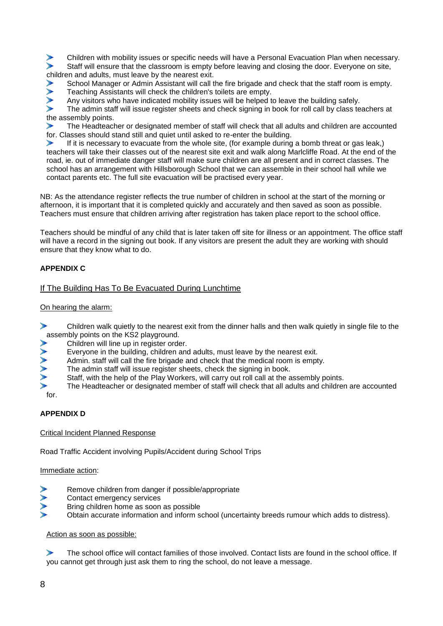Children with mobility issues or specific needs will have a Personal Evacuation Plan when necessary. Ÿ. Staff will ensure that the classroom is empty before leaving and closing the door. Everyone on site, children and adults, must leave by the nearest exit.

School Manager or Admin Assistant will call the fire brigade and check that the staff room is empty.

ъ Teaching Assistants will check the children's toilets are empty.

Any visitors who have indicated mobility issues will be helped to leave the building safely.

ъ The admin staff will issue register sheets and check signing in book for roll call by class teachers at the assembly points.

⋗ The Headteacher or designated member of staff will check that all adults and children are accounted for. Classes should stand still and quiet until asked to re-enter the building.

If it is necessary to evacuate from the whole site, (for example during a bomb threat or gas leak,) ⋗ teachers will take their classes out of the nearest site exit and walk along Marlcliffe Road. At the end of the road, ie. out of immediate danger staff will make sure children are all present and in correct classes. The school has an arrangement with Hillsborough School that we can assemble in their school hall while we contact parents etc. The full site evacuation will be practised every year.

NB: As the attendance register reflects the true number of children in school at the start of the morning or afternoon, it is important that it is completed quickly and accurately and then saved as soon as possible. Teachers must ensure that children arriving after registration has taken place report to the school office.

Teachers should be mindful of any child that is later taken off site for illness or an appointment. The office staff will have a record in the signing out book. If any visitors are present the adult they are working with should ensure that they know what to do.

### **APPENDIX C**

#### If The Building Has To Be Evacuated During Lunchtime

#### On hearing the alarm:

 $\blacktriangleright$ Children walk quietly to the nearest exit from the dinner halls and then walk quietly in single file to the assembly points on the KS2 playground.

- Children will line up in register order.
- Everyone in the building, children and adults, must leave by the nearest exit.
- Admin. staff will call the fire brigade and check that the medical room is empty.
- The admin staff will issue register sheets, check the signing in book.
- Staff, with the help of the Play Workers, will carry out roll call at the assembly points.

The Headteacher or designated member of staff will check that all adults and children are accounted for.

#### **APPENDIX D**

Critical Incident Planned Response

Road Traffic Accident involving Pupils/Accident during School Trips

#### Immediate action:

- Remove children from danger if possible/appropriate
- Contact emergency services
- Bring children home as soon as possible
- Obtain accurate information and inform school (uncertainty breeds rumour which adds to distress).

#### Action as soon as possible:

Y. The school office will contact families of those involved. Contact lists are found in the school office. If you cannot get through just ask them to ring the school, do not leave a message.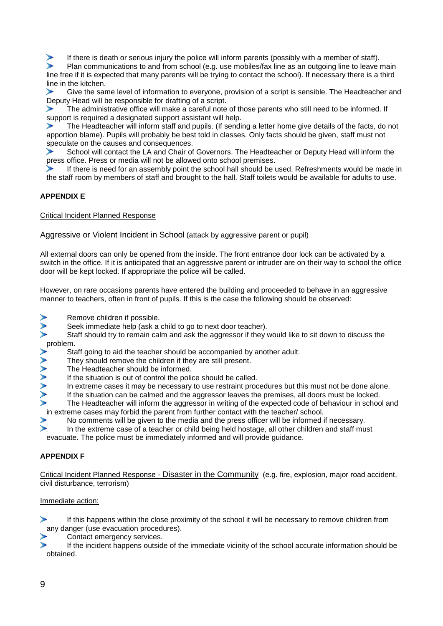If there is death or serious injury the police will inform parents (possibly with a member of staff).

Plan communications to and from school (e.g. use mobiles/fax line as an outgoing line to leave main line free if it is expected that many parents will be trying to contact the school). If necessary there is a third line in the kitchen.

Give the same level of information to everyone, provision of a script is sensible. The Headteacher and Deputy Head will be responsible for drafting of a script.

The administrative office will make a careful note of those parents who still need to be informed. If support is required a designated support assistant will help.

⋟ The Headteacher will inform staff and pupils. (If sending a letter home give details of the facts, do not apportion blame). Pupils will probably be best told in classes. Only facts should be given, staff must not speculate on the causes and consequences.

School will contact the LA and Chair of Governors. The Headteacher or Deputy Head will inform the ⋗ press office. Press or media will not be allowed onto school premises.

If there is need for an assembly point the school hall should be used. Refreshments would be made in the staff room by members of staff and brought to the hall. Staff toilets would be available for adults to use.

### **APPENDIX E**

Critical Incident Planned Response

Aggressive or Violent Incident in School (attack by aggressive parent or pupil)

All external doors can only be opened from the inside. The front entrance door lock can be activated by a switch in the office. If it is anticipated that an aggressive parent or intruder are on their way to school the office door will be kept locked. If appropriate the police will be called.

However, on rare occasions parents have entered the building and proceeded to behave in an aggressive manner to teachers, often in front of pupils. If this is the case the following should be observed:

- Remove children if possible.
- Seek immediate help (ask a child to go to next door teacher).
- Staff should try to remain calm and ask the aggressor if they would like to sit down to discuss the  $\overrightarrow{p}$  St.
	- Staff going to aid the teacher should be accompanied by another adult.
	- They should remove the children if they are still present.
	- The Headteacher should be informed.
	- If the situation is out of control the police should be called.
	- In extreme cases it may be necessary to use restraint procedures but this must not be done alone.
	- If the situation can be calmed and the aggressor leaves the premises, all doors must be locked.
	- The Headteacher will inform the aggressor in writing of the expected code of behaviour in school and in extreme cases may forbid the parent from further contact with the teacher/ school.<br>No comments will be given to the media and the press officer will be informed in
	- No comments will be given to the media and the press officer will be informed if necessary.
	- In the extreme case of a teacher or child being held hostage, all other children and staff must

evacuate. The police must be immediately informed and will provide guidance.

#### **APPENDIX F**

Critical Incident Planned Response - Disaster in the Community (e.g. fire, explosion, major road accident, civil disturbance, terrorism)

#### Immediate action:

ъ. If this happens within the close proximity of the school it will be necessary to remove children from any danger (use evacuation procedures).

Contact emergency services.

If the incident happens outside of the immediate vicinity of the school accurate information should be obtained.